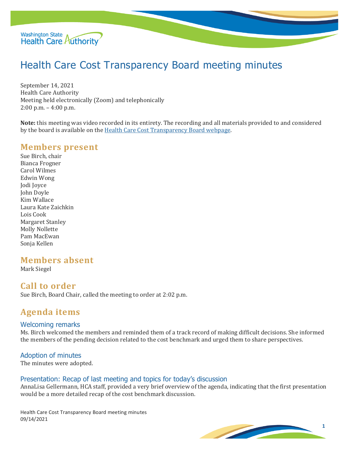

# Health Care Cost Transparency Board meeting minutes

September 14, 2021 Health Care Authority Meeting held electronically (Zoom) and telephonically 2:00 p.m. – 4:00 p.m.

**Note:** this meeting was video recorded in its entirety. The recording and all materials provided to and considered by the board is available on the [Health Care Cost Transparency Board webpage.](https://www.hca.wa.gov/about-hca/health-care-cost-transparency-board)

### **Members present**

Sue Birch, chair Bianca Frogner Carol Wilmes Edwin Wong Jodi Joyce John Doyle Kim Wallace Laura Kate Zaichkin Lois Cook Margaret Stanley Molly Nollette Pam MacEwan Sonja Kellen

# **Members absent**

Mark Siegel

# **Call to order**

Sue Birch, Board Chair, called the meeting to order at 2:02 p.m.

# **Agenda items**

#### Welcoming remarks

Ms. Birch welcomed the members and reminded them of a track record of making difficult decisions. She informed the members of the pending decision related to the cost benchmark and urged them to share perspectives.

#### Adoption of minutes

The minutes were adopted.

#### Presentation: Recap of last meeting and topics for today's discussion

AnnaLisa Gellermann, HCA staff, provided a very brief overview of the agenda, indicating that the first presentation would be a more detailed recap of the cost benchmark discussion.

Health Care Cost Transparency Board meeting minutes 09/14/2021

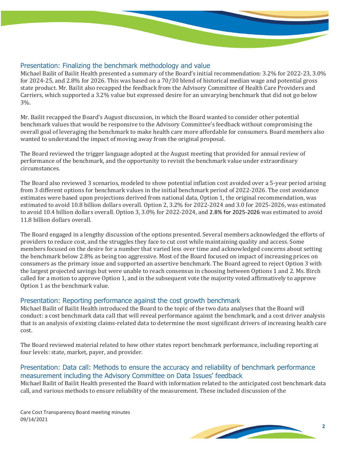

#### Presentation: Finalizing the benchmark methodology and value

Michael Bailit of Bailit Health presented a summary of the Board's initial recommendation: 3.2% for 2022-23, 3.0% for 2024-25, and 2.8% for 2026. This was based on a 70/30 blend of historical median wage and potential gross state product. Mr. Bailit also recapped the feedback from the Advisory Committee of Health Care Providers and Carriers, which supported a 3.2% value but expressed desire for an unvarying benchmark that did not go below 3%.

Mr. Bailit recapped the Board's August discussion, in which the Board wanted to consider other potential benchmark values that would be responsive to the Advisory Committee's feedback without compromising the overall goal of leveraging the benchmark to make health care more affordable for consumers. Board members also wanted to understand the impact of moving away from the original proposal.

The Board reviewed the trigger language adopted at the August meeting that provided for annual review of performance of the benchmark, and the opportunity to revisit the benchmark value under extraordinary circumstances.

The Board also reviewed 3 scenarios, modeled to show potential inflation cost avoided over a 5-year period arising from 3 different options for benchmark values in the initial benchmark period of 2022-2026. The cost avoidance estimates were based upon projections derived from national data, Option 1, the original recommendation, was estimated to avoid 10.8 billion dollars overall. Option 2, 3.2% for 2022-2024 and 3.0 for 2025-2026, was estimated to avoid 10.4 billion dollars overall. Option 3, 3.0% for 2022-2024, and 2.8% for 2025-2026 was estimated to avoid 11.8 billion dollars overall.

The Board engaged in a lengthy discussion of the options presented. Several members acknowledged the efforts of providers to reduce cost, and the struggles they face to cut cost while maintaining quality and access. Some members focused on the desire for a number that varied less over time and acknowledged concerns about setting the benchmark below 2.8% as being too aggressive. Most of the Board focused on impact of increasing prices on consumers as the primary issue and supported an assertive benchmark. The Board agreed to reject Option 3 with the largest projected savings but were unable to reach consensus in choosing between Options 1 and 2. Ms. Birch called for a motion to approve Option 1, and in the subsequent vote the majority voted affirmatively to approve Option 1 as the benchmark value.

#### Presentation: Reporting performance against the cost growth benchmark

Michael Bailit of Bailit Health introduced the Board to the topic of the two data analyses that the Board will conduct: a cost benchmark data call that will reveal performance against the benchmark, and a cost driver analysis that is an analysis of existing claims-related data to determine the most significant drivers of increasing health care cost.

The Board reviewed material related to how other states report benchmark performance, including reporting at four levels: state, market, payer, and provider.

#### Presentation: Data call: Methods to ensure the accuracy and reliability of benchmark performance measurement including the Advisory Committee on Data Issues' feedback

Michael Bailit of Bailit Health presented the Board with information related to the anticipated cost benchmark data call, and various methods to ensure reliability of the measurement. These included discussion of the

Care Cost Transparency Board meeting minutes 09/14/2021